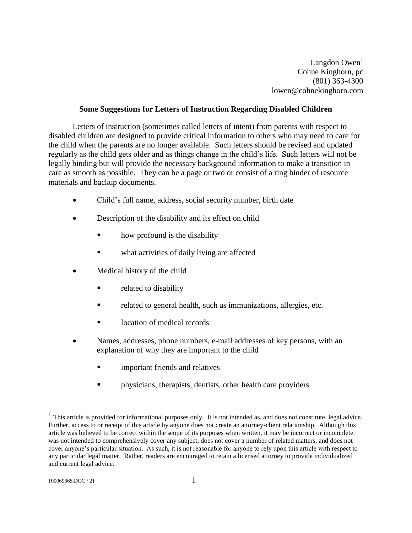Langdon Owen $<sup>1</sup>$ </sup> Cohne Kinghorn, pc (801) 363-4300 lowen@cohnekinghorn.com

## **Some Suggestions for Letters of Instruction Regarding Disabled Children**

Letters of instruction (sometimes called letters of intent) from parents with respect to disabled children are designed to provide critical information to others who may need to care for the child when the parents are no longer available. Such letters should be revised and updated regularly as the child gets older and as things change in the child's life. Such letters will not be legally binding but will provide the necessary background information to make a transition in care as smooth as possible. They can be a page or two or consist of a ring binder of resource materials and backup documents.

- Child's full name, address, social security number, birth date
- Description of the disability and its effect on child
	- how profound is the disability
	- what activities of daily living are affected
- Medical history of the child
	- related to disability
	- related to general health, such as immunizations, allergies, etc.
	- location of medical records
- Names, addresses, phone numbers, e-mail addresses of key persons, with an explanation of why they are important to the child
	- important friends and relatives
	- physicians, therapists, dentists, other health care providers

 $\overline{a}$ 

 $<sup>1</sup>$  This article is provided for informational purposes only. It is not intended as, and does not constitute, legal advice.</sup> Further, access to or receipt of this article by anyone does not create an attorney-client relationship. Although this article was believed to be correct within the scope of its purposes when written, it may be incorrect or incomplete, was not intended to comprehensively cover any subject, does not cover a number of related matters, and does not cover anyone's particular situation. As such, it is not reasonable for anyone to rely upon this article with respect to any particular legal matter. Rather, readers are encouraged to retain a licensed attorney to provide individualized and current legal advice.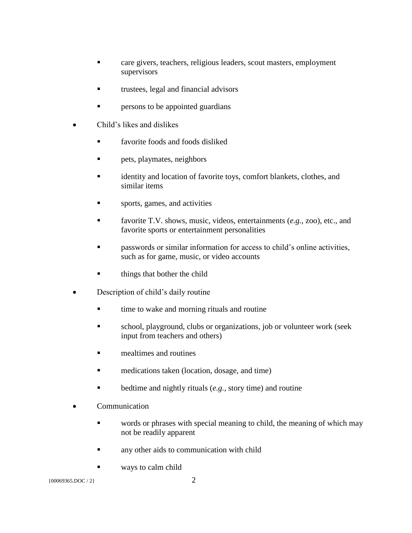- care givers, teachers, religious leaders, scout masters, employment supervisors
- trustees, legal and financial advisors
- persons to be appointed guardians
- Child's likes and dislikes
	- favorite foods and foods disliked
	- pets, playmates, neighbors
	- identity and location of favorite toys, comfort blankets, clothes, and similar items
	- sports, games, and activities
	- favorite T.V. shows, music, videos, entertainments (*e.g.*, zoo), etc., and favorite sports or entertainment personalities
	- passwords or similar information for access to child's online activities, such as for game, music, or video accounts
	- things that bother the child
- Description of child's daily routine
	- time to wake and morning rituals and routine
	- school, playground, clubs or organizations, job or volunteer work (seek input from teachers and others)
	- mealtimes and routines
	- medications taken (location, dosage, and time)
	- bedtime and nightly rituals (*e.g.*, story time) and routine
- Communication
	- words or phrases with special meaning to child, the meaning of which may not be readily apparent
	- any other aids to communication with child
	- ways to calm child

 ${00069365. \text{DOC}/2}$  2